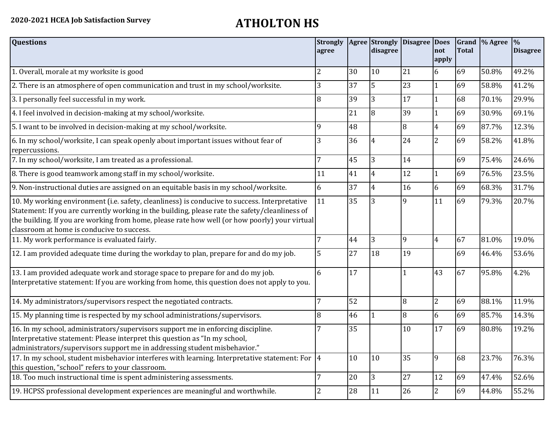| <b>Questions</b>                                                                                                                                                                                                                                                                                                                               | <b>Strongly</b><br>agree |    | disagree       | Agree Strongly Disagree Does | not<br>apply   | <b>Total</b> | Grand % Agree % | <b>Disagree</b> |
|------------------------------------------------------------------------------------------------------------------------------------------------------------------------------------------------------------------------------------------------------------------------------------------------------------------------------------------------|--------------------------|----|----------------|------------------------------|----------------|--------------|-----------------|-----------------|
| 1. Overall, morale at my worksite is good                                                                                                                                                                                                                                                                                                      | 2                        | 30 | 10             | 21                           | 6              | 69           | 50.8%           | 49.2%           |
| 2. There is an atmosphere of open communication and trust in my school/worksite.                                                                                                                                                                                                                                                               | 3                        | 37 | 5              | 23                           | $\mathbf{1}$   | 69           | 58.8%           | 41.2%           |
| 3. I personally feel successful in my work.                                                                                                                                                                                                                                                                                                    | 8                        | 39 | 3              | 17                           |                | 68           | 70.1%           | 29.9%           |
| 4. I feel involved in decision-making at my school/worksite.                                                                                                                                                                                                                                                                                   |                          | 21 | $\overline{8}$ | 39                           | 1              | 69           | 30.9%           | 69.1%           |
| 5. I want to be involved in decision-making at my school/worksite.                                                                                                                                                                                                                                                                             | 9                        | 48 |                | $\overline{8}$               | $\overline{4}$ | 69           | 87.7%           | 12.3%           |
| 6. In my school/worksite, I can speak openly about important issues without fear of<br>repercussions.                                                                                                                                                                                                                                          | 3                        | 36 | $\overline{4}$ | 24                           | $\overline{2}$ | 69           | 58.2%           | 41.8%           |
| 7. In my school/worksite, I am treated as a professional.                                                                                                                                                                                                                                                                                      | $\overline{7}$           | 45 | 3              | 14                           |                | 69           | 75.4%           | 24.6%           |
| 8. There is good teamwork among staff in my school/worksite.                                                                                                                                                                                                                                                                                   | 11                       | 41 | $\overline{4}$ | 12                           | 1              | 69           | 76.5%           | 23.5%           |
| 9. Non-instructional duties are assigned on an equitable basis in my school/worksite.                                                                                                                                                                                                                                                          | 6                        | 37 | $\overline{4}$ | 16                           | 6              | 69           | 68.3%           | 31.7%           |
| 10. My working environment (i.e. safety, cleanliness) is conducive to success. Interpretative<br>Statement: If you are currently working in the building, please rate the safety/cleanliness of<br>the building. If you are working from home, please rate how well (or how poorly) your virtual<br>classroom at home is conducive to success. | 11                       | 35 | 3              | 9                            | 11             | 69           | 79.3%           | 20.7%           |
| 11. My work performance is evaluated fairly.                                                                                                                                                                                                                                                                                                   | 7                        | 44 | 3              | $\overline{9}$               | $\overline{4}$ | 67           | 81.0%           | 19.0%           |
| 12. I am provided adequate time during the workday to plan, prepare for and do my job.                                                                                                                                                                                                                                                         | 5                        | 27 | 18             | 19                           |                | 69           | 46.4%           | 53.6%           |
| 13. I am provided adequate work and storage space to prepare for and do my job.<br>Interpretative statement: If you are working from home, this question does not apply to you.                                                                                                                                                                | 6                        | 17 |                |                              | 43             | 67           | 95.8%           | 4.2%            |
| 14. My administrators/supervisors respect the negotiated contracts.                                                                                                                                                                                                                                                                            | 7                        | 52 |                | 8                            | $\overline{2}$ | 69           | 88.1%           | 11.9%           |
| 15. My planning time is respected by my school administrations/supervisors.                                                                                                                                                                                                                                                                    | 8                        | 46 | 1              | 8                            | 6              | 69           | 85.7%           | 14.3%           |
| 16. In my school, administrators/supervisors support me in enforcing discipline.<br>Interpretative statement: Please interpret this question as "In my school,<br>administrators/supervisors support me in addressing student misbehavior."                                                                                                    | 7                        | 35 |                | 10                           | 17             | 69           | 80.8%           | 19.2%           |
| 17. In my school, student misbehavior interferes with learning. Interpretative statement: For  4<br>this question, "school" refers to your classroom.                                                                                                                                                                                          |                          | 10 | 10             | 35                           | 9              | 68           | 23.7%           | 76.3%           |
| 18. Too much instructional time is spent administering assessments.                                                                                                                                                                                                                                                                            | 7                        | 20 | 3              | 27                           | 12             | 69           | 47.4%           | 52.6%           |
| 19. HCPSS professional development experiences are meaningful and worthwhile.                                                                                                                                                                                                                                                                  | 2                        | 28 | 11             | 26                           | $\overline{2}$ | 69           | 44.8%           | 55.2%           |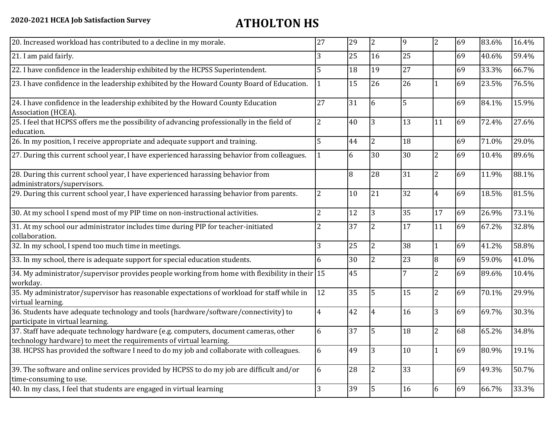| 20. Increased workload has contributed to a decline in my morale.                                                                                          | 27             | 29 | $\overline{2}$ | 9  | $\overline{2}$ | 69 | 83.6% | 16.4% |
|------------------------------------------------------------------------------------------------------------------------------------------------------------|----------------|----|----------------|----|----------------|----|-------|-------|
| 21. I am paid fairly.                                                                                                                                      | 3              | 25 | 16             | 25 |                | 69 | 40.6% | 59.4% |
| 22. I have confidence in the leadership exhibited by the HCPSS Superintendent.                                                                             | 5              | 18 | 19             | 27 |                | 69 | 33.3% | 66.7% |
| 23. I have confidence in the leadership exhibited by the Howard County Board of Education.                                                                 |                | 15 | 26             | 26 |                | 69 | 23.5% | 76.5% |
| 24. I have confidence in the leadership exhibited by the Howard County Education<br>Association (HCEA).                                                    | 27             | 31 | 6              | 5  |                | 69 | 84.1% | 15.9% |
| 25. I feel that HCPSS offers me the possibility of advancing professionally in the field of<br>education.                                                  | $\overline{2}$ | 40 | 3              | 13 | 11             | 69 | 72.4% | 27.6% |
| 26. In my position, I receive appropriate and adequate support and training.                                                                               | 5              | 44 | $\overline{2}$ | 18 |                | 69 | 71.0% | 29.0% |
| 27. During this current school year, I have experienced harassing behavior from colleagues.                                                                |                | 6  | 30             | 30 | $\overline{2}$ | 69 | 10.4% | 89.6% |
| 28. During this current school year, I have experienced harassing behavior from<br>administrators/supervisors.                                             |                | 8  | 28             | 31 | $\overline{2}$ | 69 | 11.9% | 88.1% |
| 29. During this current school year, I have experienced harassing behavior from parents.                                                                   | $\overline{2}$ | 10 | 21             | 32 | $\overline{4}$ | 69 | 18.5% | 81.5% |
| 30. At my school I spend most of my PIP time on non-instructional activities.                                                                              | $\overline{2}$ | 12 | 3              | 35 | 17             | 69 | 26.9% | 73.1% |
| 31. At my school our administrator includes time during PIP for teacher-initiated<br>collaboration.                                                        | 2              | 37 | $\overline{2}$ | 17 | 11             | 69 | 67.2% | 32.8% |
| 32. In my school, I spend too much time in meetings.                                                                                                       | 3              | 25 | $\overline{2}$ | 38 | 1              | 69 | 41.2% | 58.8% |
| 33. In my school, there is adequate support for special education students.                                                                                | 6              | 30 | $\overline{2}$ | 23 | 8              | 69 | 59.0% | 41.0% |
| 34. My administrator/supervisor provides people working from home with flexibility in their 15<br>workday.                                                 |                | 45 |                | 7  | $\overline{2}$ | 69 | 89.6% | 10.4% |
| 35. My administrator/supervisor has reasonable expectations of workload for staff while in<br>virtual learning.                                            | 12             | 35 | 5              | 15 | 2              | 69 | 70.1% | 29.9% |
| 36. Students have adequate technology and tools (hardware/software/connectivity) to<br>participate in virtual learning.                                    | $\overline{4}$ | 42 | $\overline{4}$ | 16 | 3              | 69 | 69.7% | 30.3% |
| 37. Staff have adequate technology hardware (e.g. computers, document cameras, other<br>technology hardware) to meet the requirements of virtual learning. | 6              | 37 | 5              | 18 | $\overline{2}$ | 68 | 65.2% | 34.8% |
| 38. HCPSS has provided the software I need to do my job and collaborate with colleagues.                                                                   | 6              | 49 | 3              | 10 | 1              | 69 | 80.9% | 19.1% |
| 39. The software and online services provided by HCPSS to do my job are difficult and/or<br>time-consuming to use.                                         | 6              | 28 | $\overline{2}$ | 33 |                | 69 | 49.3% | 50.7% |
| 40. In my class, I feel that students are engaged in virtual learning                                                                                      | $\overline{3}$ | 39 | 5              | 16 | 6              | 69 | 66.7% | 33.3% |
|                                                                                                                                                            |                |    |                |    |                |    |       |       |